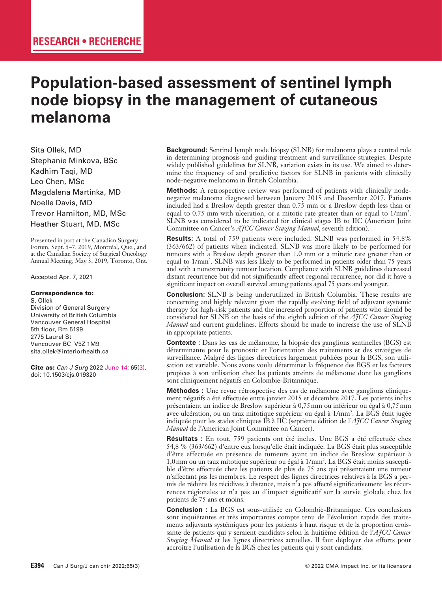# **Population-based assessment of sentinel lymph node biopsy in the management of cutaneous melanoma**

Sita Ollek, MD Stephanie Minkova, BSc Kadhim Taqi, MD Leo Chen, MSc Magdalena Martinka, MD Noelle Davis, MD Trevor Hamilton, MD, MSc Heather Stuart, MD, MSc

Presented in part at the Canadian Surgery Forum, Sept. 5–7, 2019, Montréal, Que., and at the Canadian Society of Surgical Oncology Annual Meeting, May 3, 2019, Toronto, Ont.

Accepted Apr. 7, 2021

#### Correspondence to:

S. Ollek Division of General Surgery University of British Columbia Vancouver General Hospital 5th floor, Rm 5199 2775 Laurel St Vancouver BC V5Z 1M9 sita.ollek@interiorhealth.ca

Cite as: *Can J Surg* 2022 June 14; 65(3). doi: 10.1503/cjs.019320

**Background:** Sentinel lymph node biopsy (SLNB) for melanoma plays a central role in determining prognosis and guiding treatment and surveillance strategies. Despite widely published guidelines for SLNB, variation exists in its use. We aimed to determine the frequency of and predictive factors for SLNB in patients with clinically node-negative melanoma in British Columbia.

**Methods:** A retrospective review was performed of patients with clinically nodenegative melanoma diagnosed between January 2015 and December 2017. Patients included had a Breslow depth greater than 0.75 mm or a Breslow depth less than or equal to 0.75 mm with ulceration, or a mitotic rate greater than or equal to 1/mm2 . SLNB was considered to be indicated for clinical stages IB to IIC (American Joint Committee on Cancer's *AJCC Cancer Staging Manual*, seventh edition).

**Results:** A total of 759 patients were included. SLNB was performed in 54.8% (363/662) of patients when indicated. SLNB was more likely to be performed for tumours with a Breslow depth greater than 1.0 mm or a mitotic rate greater than or equal to 1/mm2 . SLNB was less likely to be performed in patients older than 75 years and with a nonextremity tumour location. Compliance with SLNB guidelines decreased distant recurrence but did not significantly affect regional recurrence, nor did it have a significant impact on overall survival among patients aged 75 years and younger.

**Conclusion:** SLNB is being underutilized in British Columbia. These results are concerning and highly relevant given the rapidly evolving field of adjuvant systemic therapy for high-risk patients and the increased proportion of patients who should be considered for SLNB on the basis of the eighth edition of the *AJCC Cancer Staging Manual* and current guidelines. Efforts should be made to increase the use of SLNB in appropriate patients.

**Contexte :** Dans les cas de mélanome, la biopsie des ganglions sentinelles (BGS) est déterminante pour le pronostic et l'orientation des traitements et des stratégies de surveillance. Malgré des lignes directrices largement publiées pour la BGS, son utilisation est variable. Nous avons voulu déterminer la fréquence des BGS et les facteurs propices à son utilisation chez les patients atteints de mélanome dont les ganglions sont cliniquement négatifs en Colombie-Britannique.

**Méthodes :** Une revue rétrospective des cas de mélanome avec ganglions cliniquement négatifs a été effectuée entre janvier 2015 et décembre 2017. Les patients inclus présentaient un indice de Breslow supérieur à 0,75mm ou inférieur ou égal à 0,75mm avec ulcération, ou un taux mitotique supérieur ou égal à 1/mm2 . La BGS était jugée indiquée pour les stades cliniques IB à IIC (septième édition de l'*AJCC Cancer Staging Manual* de l'American Joint Committee on Cancer).

**Résultats :** En tout, 759 patients ont été inclus. Une BGS a été effectuée chez 54,8 % (363/662) d'entre eux lorsqu'elle était indiquée. La BGS était plus susceptible d'être effectuée en présence de tumeurs ayant un indice de Breslow supérieur à 1,0mm ou un taux mitotique supérieur ou égal à 1/mm2 . La BGS était moins susceptible d'être effectuée chez les patients de plus de 75 ans qui présentaient une tumeur n'affectant pas les membres. Le respect des lignes directrices relatives à la BGS a permis de réduire les récidives à distance, mais n'a pas affecté significativement les récurrences régionales et n'a pas eu d'impact significatif sur la survie globale chez les patients de 75 ans et moins.

**Conclusion :** La BGS est sous-utilisée en Colombie-Britannique. Ces conclusions sont inquiétantes et très importantes compte tenu de l'évolution rapide des traitements adjuvants systémiques pour les patients à haut risque et de la proportion croissante de patients qui y seraient candidats selon la huitième édition de l'*AJCC Cancer Staging Manual* et les lignes directrices actuelles. Il faut déployer des efforts pour accroître l'utilisation de la BGS chez les patients qui y sont candidats.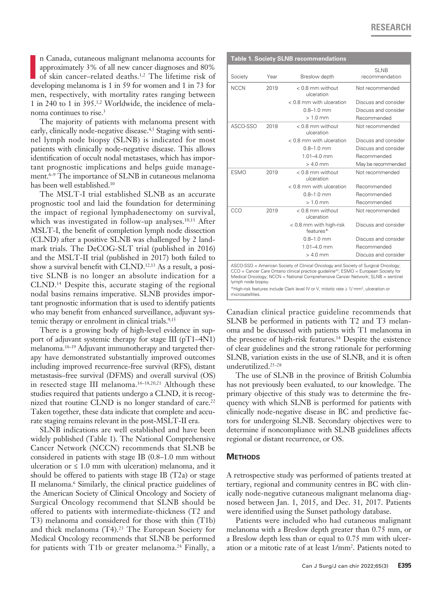In Canada, cutaneous malignant melanoma accounts for approximately 3% of all new cancer diagnoses and 80% of skin cancer-related deaths.<sup>1,2</sup> The lifetime risk of developing melanoma is 1 in 59 for women and 1 in 73 for n Canada, cutaneous malignant melanoma accounts for approximately 3% of all new cancer diagnoses and 80% of skin cancer–related deaths.1,2 The lifetime risk of men, respectively, with mortality rates ranging between 1 in 240 to 1 in 395.1,2 Worldwide, the incidence of melanoma continues to rise.<sup>3</sup>

The majority of patients with melanoma present with early, clinically node-negative disease.<sup>4,5</sup> Staging with sentinel lymph node biopsy (SLNB) is indicated for most patients with clinically node-negative disease. This allows identification of occult nodal metastases, which has important prognostic implications and helps guide management.6–9 The importance of SLNB in cutaneous melanoma has been well established.10

The MSLT-I trial established SLNB as an accurate prognostic tool and laid the foundation for determining the impact of regional lymphadenectomy on survival, which was investigated in follow-up analyses.<sup>10,11</sup> After MSLT-I, the benefit of completion lymph node dissection (CLND) after a positive SLNB was challenged by 2 landmark trials. The DeCOG-SLT trial (published in 2016) and the MSLT-II trial (published in 2017) both failed to show a survival benefit with CLND.<sup>12,13</sup> As a result, a positive SLNB is no longer an absolute indication for a CLND.14 Despite this, accurate staging of the regional nodal basins remains imperative. SLNB provides important prognostic information that is used to identify patients who may benefit from enhanced surveillance, adjuvant systemic therapy or enrolment in clinical trials.<sup>9,15</sup>

There is a growing body of high-level evidence in support of adjuvant systemic therapy for stage III (pT1–4N1) melanoma.16–19 Adjuvant immunotherapy and targeted therapy have demonstrated substantially improved outcomes including improved recurrence-free survival (RFS), distant metastasis–free survival (DFMS) and overall survival (OS) in resected stage III melanoma.<sup>16-18,20,21</sup> Although these studies required that patients undergo a CLND, it is recognized that routine CLND is no longer standard of care.<sup>22</sup> Taken together, these data indicate that complete and accurate staging remains relevant in the post-MSLT-II era.

SLNB indications are well established and have been widely published (Table 1). The National Comprehensive Cancer Network (NCCN) recommends that SLNB be considered in patients with stage IB (0.8–1.0 mm without ulceration or  $\leq 1.0$  mm with ulceration) melanoma, and it should be offered to patients with stage IB  $(T2a)$  or stage II melanoma.6 Similarly, the clinical practice guidelines of the American Society of Clinical Oncology and Society of Surgical Oncology recommend that SLNB should be offered to patients with intermediate-thickness (T2 and T3) melanoma and considered for those with thin (T1b) and thick melanoma  $(T4).<sup>23</sup>$  The European Society for Medical Oncology recommends that SLNB be performed for patients with T1b or greater melanoma.<sup>24</sup> Finally, a

| <b>Table 1. Society SLNB recommendations</b> |      |                                                                                                                                                                                                                                                                              |                               |  |
|----------------------------------------------|------|------------------------------------------------------------------------------------------------------------------------------------------------------------------------------------------------------------------------------------------------------------------------------|-------------------------------|--|
| Society                                      | Year | Breslow depth                                                                                                                                                                                                                                                                | <b>SLNB</b><br>recommendation |  |
| <b>NCCN</b>                                  | 2019 | $< 0.8$ mm without<br>ulceration                                                                                                                                                                                                                                             | Not recommended               |  |
|                                              |      | < 0.8 mm with ulceration                                                                                                                                                                                                                                                     | Discuss and consider          |  |
|                                              |      | $0.8 - 1.0$ mm                                                                                                                                                                                                                                                               | Discuss and consider          |  |
|                                              |      | $> 1.0$ mm                                                                                                                                                                                                                                                                   | Recommended                   |  |
| ASCO-SSO                                     | 2018 | $< 0.8$ mm without<br>ulceration                                                                                                                                                                                                                                             | Not recommended               |  |
|                                              |      | < 0.8 mm with ulceration                                                                                                                                                                                                                                                     | Discuss and consider          |  |
|                                              |      | $0.8 - 1.0$ mm                                                                                                                                                                                                                                                               | Discuss and consider          |  |
|                                              |      | $1.01 - 4.0$ mm                                                                                                                                                                                                                                                              | Recommended                   |  |
|                                              |      | $> 4.0$ mm                                                                                                                                                                                                                                                                   | May be recommended            |  |
| <b>ESMO</b>                                  | 2019 | $< 0.8$ mm without<br>ulceration                                                                                                                                                                                                                                             | Not recommended               |  |
|                                              |      | < 0.8 mm with ulceration                                                                                                                                                                                                                                                     | Recommended                   |  |
|                                              |      | $0.8 - 1.0$ mm                                                                                                                                                                                                                                                               | Recommended                   |  |
|                                              |      | $>1.0$ mm                                                                                                                                                                                                                                                                    | Recommended                   |  |
| CCO                                          | 2019 | $< 0.8$ mm without<br>ulceration                                                                                                                                                                                                                                             | Not recommended               |  |
|                                              |      | $< 0.8$ mm with high-risk<br>features*                                                                                                                                                                                                                                       | Discuss and consider          |  |
|                                              |      | $0.8 - 1.0$ mm                                                                                                                                                                                                                                                               | Discuss and consider          |  |
|                                              |      | $1.01 - 4.0$ mm                                                                                                                                                                                                                                                              | Recommended                   |  |
|                                              |      | $> 4.0$ mm                                                                                                                                                                                                                                                                   | Discuss and consider          |  |
| lymph node biopsy.                           |      | ASCO-SSO = American Society of Clinical Oncology and Society of Surgical Oncology;<br>$CCO =$ Cancer Care Ontario clinical practice guideline <sup>22</sup> ; ESMO = European Society for<br>Medical Oncology; NCCN = National Comprehensive Cancer Network; SLNB = sentinel |                               |  |
| microsatellites.                             |      | *High-risk features include Clark level IV or V, mitotic rate $\geq$ 1/ mm <sup>2</sup> , ulceration or                                                                                                                                                                      |                               |  |

Canadian clinical practice guideline recommends that SLNB be performed in patients with T2 and T3 melanoma and be discussed with patients with T1 melanoma in the presence of high-risk features.<sup>14</sup> Despite the existence of clear guidelines and the strong rationale for performing SLNB, variation exists in the use of SLNB, and it is often underutilized.25–28

The use of SLNB in the province of British Columbia has not previously been evaluated, to our knowledge. The primary objective of this study was to determine the frequency with which SLNB is performed for patients with clinically node-negative disease in BC and predictive factors for undergoing SLNB. Secondary objectives were to determine if noncompliance with SLNB guidelines affects regional or distant recurrence, or OS.

#### **Methods**

A retrospective study was performed of patients treated at tertiary, regional and community centres in BC with clinically node-negative cutaneous malignant melanoma diagnosed between Jan. 1, 2015, and Dec. 31, 2017. Patients were identified using the Sunset pathology database.

Patients were included who had cutaneous malignant melanoma with a Breslow depth greater than 0.75 mm, or a Breslow depth less than or equal to 0.75 mm with ulceration or a mitotic rate of at least 1/mm2 . Patients noted to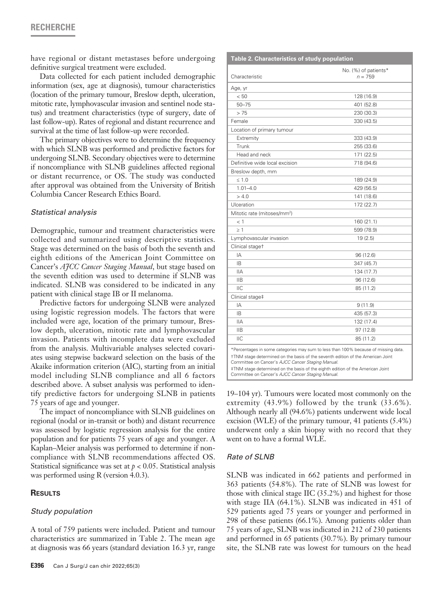# **RECHERCHE**

have regional or distant metastases before undergoing definitive surgical treatment were excluded.

Data collected for each patient included demographic information (sex, age at diagnosis), tumour characteristics (location of the primary tumour, Breslow depth, ulceration, mitotic rate, lymphovascular invasion and sentinel node status) and treatment characteristics (type of surgery, date of last follow-up). Rates of regional and distant recurrence and survival at the time of last follow-up were recorded.

The primary objectives were to determine the frequency with which SLNB was performed and predictive factors for undergoing SLNB. Secondary objectives were to determine if noncompliance with SLNB guidelines affected regional or distant recurrence, or OS. The study was conducted after approval was obtained from the University of British Columbia Cancer Research Ethics Board.

#### *Statistical analysis*

Demographic, tumour and treatment characteristics were collected and summarized using descriptive statistics. Stage was determined on the basis of both the seventh and eighth editions of the American Joint Committee on Cancer's *AJCC Cancer Staging Manual*, but stage based on the seventh edition was used to determine if SLNB was indicated. SLNB was considered to be indicated in any patient with clinical stage IB or II melanoma.

Predictive factors for undergoing SLNB were analyzed using logistic regression models. The factors that were included were age, location of the primary tumour, Breslow depth, ulceration, mitotic rate and lymphovascular invasion. Patients with incomplete data were excluded from the analysis. Multivariable analyses selected covariates using stepwise backward selection on the basis of the Akaike information criterion (AIC), starting from an initial model including SLNB compliance and all 6 factors described above. A subset analysis was performed to identify predictive factors for undergoing SLNB in patients 75 years of age and younger.

The impact of noncompliance with SLNB guidelines on regional (nodal or in-transit or both) and distant recurrence was assessed by logistic regression analysis for the entire population and for patients 75 years of age and younger. A Kaplan–Meier analysis was performed to determine if noncompliance with SLNB recommendations affected OS. Statistical significance was set at  $p < 0.05$ . Statistical analysis was performed using R (version 4.0.3).

#### **Results**

#### *Study population*

A total of 759 patients were included. Patient and tumour characteristics are summarized in Table 2. The mean age at diagnosis was 66 years (standard deviation 16.3 yr, range

| Table 2. Characteristics of study population                                                                                         |                                   |  |  |
|--------------------------------------------------------------------------------------------------------------------------------------|-----------------------------------|--|--|
| Characteristic                                                                                                                       | No. (%) of patients*<br>$n = 759$ |  |  |
| Age, yr                                                                                                                              |                                   |  |  |
| < 50                                                                                                                                 | 128 (16.9)                        |  |  |
| $50 - 75$                                                                                                                            | 401 (52.8)                        |  |  |
| > 75                                                                                                                                 | 230 (30.3)                        |  |  |
| Female                                                                                                                               | 330 (43.5)                        |  |  |
| Location of primary tumour                                                                                                           |                                   |  |  |
| Extremity                                                                                                                            | 333 (43.9)                        |  |  |
| Trunk                                                                                                                                | 255 (33.6)                        |  |  |
| Head and neck                                                                                                                        | 171 (22.5)                        |  |  |
| Definitive wide local excision                                                                                                       | 718 (94.6)                        |  |  |
| Breslow depth, mm                                                                                                                    |                                   |  |  |
| $\leq 1.0$                                                                                                                           | 189 (24.9)                        |  |  |
| $1.01 - 4.0$                                                                                                                         | 429 (56.5)                        |  |  |
| > 4.0                                                                                                                                | 141 (18.6)                        |  |  |
| Ulceration                                                                                                                           | 172 (22.7)                        |  |  |
| Mitotic rate (mitoses/mm <sup>2</sup> )                                                                                              |                                   |  |  |
| $<$ 1                                                                                                                                | 160 (21.1)                        |  |  |
| $\geq$ 1                                                                                                                             | 599 (78.9)                        |  |  |
| Lymphovascular invasion                                                                                                              | 19(2.5)                           |  |  |
| Clinical stage <sup>+</sup>                                                                                                          |                                   |  |  |
| IA                                                                                                                                   | 96 (12.6)                         |  |  |
| ΙB                                                                                                                                   | 347 (45.7)                        |  |  |
| <b>IIA</b>                                                                                                                           | 134 (17.7)                        |  |  |
| IIB                                                                                                                                  | 96 (12.6)                         |  |  |
| HC                                                                                                                                   | 85 (11.2)                         |  |  |
| Clinical stage‡                                                                                                                      |                                   |  |  |
| ΙA                                                                                                                                   | 9(11.9)                           |  |  |
| IB.                                                                                                                                  | 435 (57.3)                        |  |  |
| <b>IIA</b>                                                                                                                           | 132 (17.4)                        |  |  |
| <b>IIB</b>                                                                                                                           | 97 (12.8)                         |  |  |
| <b>IIC</b>                                                                                                                           | 85 (11.2)                         |  |  |
| *Percentages in some categories may sum to less than 100% because of missing data.                                                   |                                   |  |  |
| TTNM stage determined on the basis of the seventh edition of the American Joint<br>Committee on Cancer's AJCC Cancer Staging Manual. |                                   |  |  |
| #TNM stage determined on the basis of the eighth edition of the American Joint<br>Committee on Cancer's AJCC Cancer Staging Manual.  |                                   |  |  |

19–104 yr). Tumours were located most commonly on the extremity (43.9%) followed by the trunk (33.6%). Although nearly all (94.6%) patients underwent wide local excision (WLE) of the primary tumour, 41 patients (5.4%) underwent only a skin biopsy with no record that they went on to have a formal WLE.

#### *Rate of SLNB*

SLNB was indicated in 662 patients and performed in 363 patients (54.8%). The rate of SLNB was lowest for those with clinical stage IIC (35.2%) and highest for those with stage IIA (64.1%). SLNB was indicated in 451 of 529 patients aged 75 years or younger and performed in 298 of these patients (66.1%). Among patients older than 75 years of age, SLNB was indicated in 212 of 230 patients and performed in 65 patients (30.7%). By primary tumour site, the SLNB rate was lowest for tumours on the head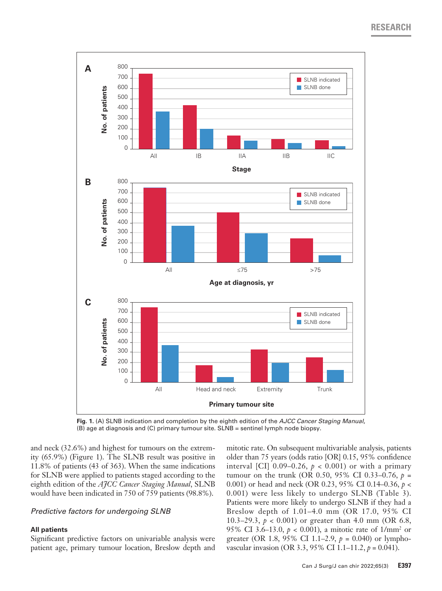**RESEARCH**



**Fig. 1.** (A) SLNB indication and completion by the eighth edition of the *AJCC Cancer Staging Manual*, (B) age at diagnosis and (C) primary tumour site. SLNB = sentinel lymph node biopsy.

and neck (32.6%) and highest for tumours on the extremity (65.9%) (Figure 1). The SLNB result was positive in 11.8% of patients (43 of 363). When the same indications for SLNB were applied to patients staged according to the eighth edition of the *AJCC Cancer Staging Manual*, SLNB would have been indicated in 750 of 759 patients (98.8%).

## *Predictive factors for undergoing SLNB*

#### **All patients**

Significant predictive factors on univariable analysis were patient age, primary tumour location, Breslow depth and mitotic rate. On subsequent multivariable analysis, patients older than 75 years (odds ratio [OR] 0.15, 95% confidence interval [CI]  $0.09-0.26$ ,  $p < 0.001$  or with a primary tumour on the trunk (OR 0.50, 95% CI 0.33–0.76, *p* = 0.001) or head and neck (OR 0.23, 95% CI 0.14–0.36, *p* < 0.001) were less likely to undergo SLNB (Table 3). Patients were more likely to undergo SLNB if they had a Breslow depth of 1.01–4.0 mm (OR 17.0, 95% CI 10.3–29.3, *p* < 0.001) or greater than 4.0 mm (OR 6.8, 95% CI 3.6–13.0, *p* < 0.001), a mitotic rate of 1/mm2 or greater (OR 1.8, 95% CI 1.1–2.9, *p* = 0.040) or lymphovascular invasion (OR 3.3, 95% CI 1.1–11.2, *p* = 0.041).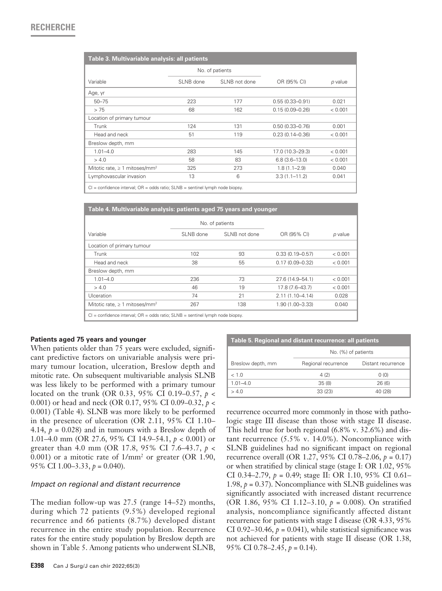# **RECHERCHE**

| Table 3. Multivariable analysis: all patients  |                 |               |                     |         |  |
|------------------------------------------------|-----------------|---------------|---------------------|---------|--|
|                                                | No. of patients |               |                     |         |  |
| Variable                                       | SLNB done       | SLNB not done | OR (95% CI)         | p value |  |
| Age, yr                                        |                 |               |                     |         |  |
| $50 - 75$                                      | 223             | 177           | $0.55(0.33 - 0.91)$ | 0.021   |  |
| > 75                                           | 68              | 162           | $0.15(0.09 - 0.26)$ | < 0.001 |  |
| Location of primary tumour                     |                 |               |                     |         |  |
| Trunk                                          | 124             | 131           | $0.50(0.33 - 0.76)$ | 0.001   |  |
| Head and neck                                  | 51              | 119           | $0.23(0.14 - 0.36)$ | < 0.001 |  |
| Breslow depth, mm                              |                 |               |                     |         |  |
| $1.01 - 4.0$                                   | 283             | 145           | 17.0 (10.3-29.3)    | < 0.001 |  |
| > 4.0                                          | 58              | 83            | $6.8(3.6-13.0)$     | < 0.001 |  |
| Mitotic rate, $\geq 1$ mitoses/mm <sup>2</sup> | 325             | 273           | $1.8(1.1 - 2.9)$    | 0.040   |  |
| Lymphovascular invasion                        | 13              | 6             | $3.3(1.1 - 11.2)$   | 0.041   |  |

 $Cl =$  confidence interval;  $OR =$  odds ratio;  $SI NB =$  sentinel lymph node biopsy.

| Table 4. Multivariable analysis: patients aged 75 years and younger                 |                 |               |                     |         |  |
|-------------------------------------------------------------------------------------|-----------------|---------------|---------------------|---------|--|
|                                                                                     | No. of patients |               |                     |         |  |
| Variable                                                                            | SLNB done       | SLNB not done | OR (95% CI)         | p value |  |
| Location of primary tumour                                                          |                 |               |                     |         |  |
| Trunk                                                                               | 102             | 93            | $0.33(0.19 - 0.57)$ | < 0.001 |  |
| Head and neck                                                                       | 38              | 55            | $0.17(0.09 - 0.32)$ | < 0.001 |  |
| Breslow depth, mm                                                                   |                 |               |                     |         |  |
| $1.01 - 4.0$                                                                        | 236             | 73            | 27.6 (14.9–54.1)    | < 0.001 |  |
| > 4.0                                                                               | 46              | 19            | 17.8 (7.6-43.7)     | < 0.001 |  |
| Ulceration                                                                          | 74              | 21            | $2.11(1.10 - 4.14)$ | 0.028   |  |
| Mitotic rate, $\geq 1$ mitoses/mm <sup>2</sup>                                      | 267             | 138           | 1.90 (1.00-3.33)    | 0.040   |  |
| $Cl =$ confidence interval; $OR =$ odds ratio; $SLNB =$ sentinel lymph node biopsy. |                 |               |                     |         |  |

#### **Patients aged 75 years and younger**

When patients older than 75 years were excluded, significant predictive factors on univariable analysis were primary tumour location, ulceration, Breslow depth and mitotic rate. On subsequent multivariable analysis SLNB was less likely to be performed with a primary tumour located on the trunk (OR 0.33, 95% CI 0.19–0.57, *p* < 0.001) or head and neck (OR 0.17, 95% CI 0.09–0.32, *p* < 0.001) (Table 4). SLNB was more likely to be performed in the presence of ulceration (OR 2.11, 95% CI 1.10– 4.14,  $p = 0.028$ ) and in tumours with a Breslow depth of 1.01–4.0 mm (OR 27.6, 95% CI 14.9–54.1, *p* < 0.001) or greater than 4.0 mm (OR 17.8, 95% CI 7.6–43.7, *p* < 0.001) or a mitotic rate of  $1/\text{mm}^2$  or greater (OR 1.90, 95% CI 1.00–3.33, *p* = 0.040).

#### *Impact on regional and distant recurrence*

The median follow-up was 27.5 (range 14–52) months, during which 72 patients (9.5%) developed regional recurrence and 66 patients (8.7%) developed distant recurrence in the entire study population. Recurrence rates for the entire study population by Breslow depth are shown in Table 5. Among patients who underwent SLNB,

**E398** Can J Surg/J can chir 2022;65(3)

| Table 5. Regional and distant recurrence: all patients |                     |                    |  |  |  |
|--------------------------------------------------------|---------------------|--------------------|--|--|--|
|                                                        | No. (%) of patients |                    |  |  |  |
| Breslow depth, mm                                      | Regional recurrence | Distant recurrence |  |  |  |
| < 1.0                                                  | 4(2)                | 0(0)               |  |  |  |
| $1.01 - 4.0$                                           | 35(8)               | 26(6)              |  |  |  |
| > 4.0                                                  | 33(23)              | 40 (28)            |  |  |  |

recurrence occurred more commonly in those with pathologic stage III disease than those with stage II disease. This held true for both regional (6.8% v. 32.6%) and distant recurrence (5.5% v. 14.0%). Noncompliance with SLNB guidelines had no significant impact on regional recurrence overall (OR 1.27, 95% CI 0.78–2.06, *p* = 0.17) or when stratified by clinical stage (stage I: OR 1.02, 95% CI 0.34–2.79, *p* = 0.49; stage II: OR 1.10, 95% CI 0.61– 1.98,  $p = 0.37$ ). Noncompliance with SLNB guidelines was significantly associated with increased distant recurrence (OR 1.86, 95% CI 1.12–3.10, *p* = 0.008). On stratified analysis, noncompliance significantly affected distant recurrence for patients with stage I disease (OR 4.33, 95% CI 0.92–30.46,  $p = 0.041$ ), while statistical significance was not achieved for patients with stage II disease (OR 1.38, 95% CI 0.78–2.45, *p* = 0.14).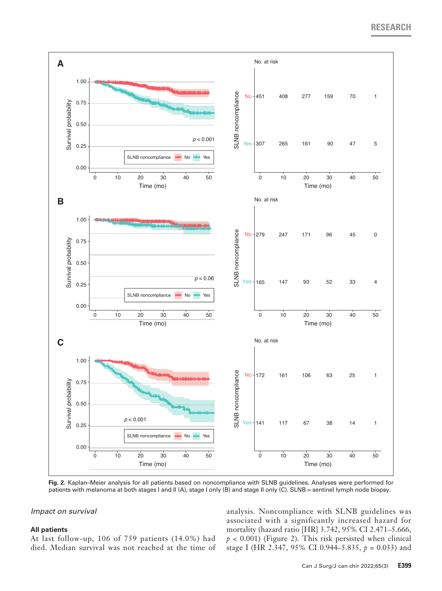# **RESEARCH**



**Fig. 2.** Kaplan–Meier analysis for all patients based on noncompliance with SLNB guidelines. Analyses were performed for patients with melanoma at both stages I and II (A), stage I only (B) and stage II only (C). SLNB = sentinel lymph node biopsy.

### *Impact on survival*

#### **All patients**

At last follow-up, 106 of 759 patients (14.0%) had died. Median survival was not reached at the time of

analysis. Noncompliance with SLNB guidelines was associated with a significantly increased hazard for mortality (hazard ratio [HR] 3.742, 95% CI 2.471–5.666,  $p < 0.001$ ) (Figure 2). This risk persisted when clinical stage I (HR 2.347, 95% CI 0.944–5.835, *p* = 0.033) and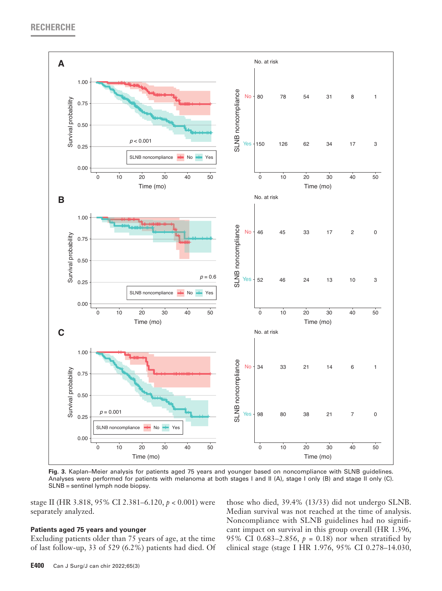

**Fig. 3.** Kaplan–Meier analysis for patients aged 75 years and younger based on noncompliance with SLNB guidelines. Analyses were performed for patients with melanoma at both stages I and II (A), stage I only (B) and stage II only (C). SLNB = sentinel lymph node biopsy.

stage II (HR 3.818, 95% CI 2.381–6.120, *p* < 0.001) were separately analyzed.

#### **Patients aged 75 years and younger**

Excluding patients older than 75 years of age, at the time of last follow-up, 33 of 529 (6.2%) patients had died. Of those who died, 39.4% (13/33) did not undergo SLNB. Median survival was not reached at the time of analysis. Noncompliance with SLNB guidelines had no significant impact on survival in this group overall (HR 1.396, 95% CI 0.683-2.856,  $p = 0.18$ ) nor when stratified by clinical stage (stage I HR 1.976, 95% CI 0.278–14.030,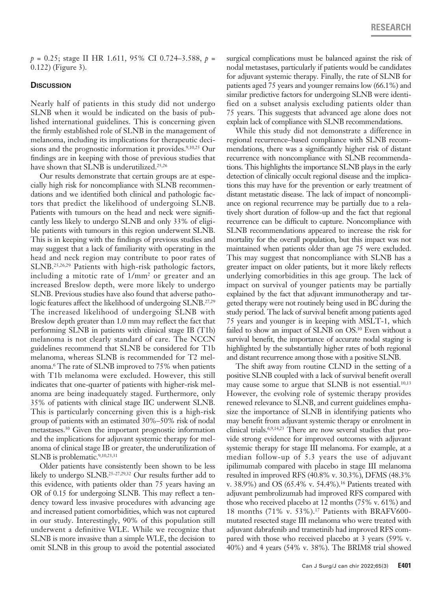*p* = 0.25; stage II HR 1.611, 95% CI 0.724–3.588, *p* = 0.122) (Figure 3).

#### **Discussion**

Nearly half of patients in this study did not undergo SLNB when it would be indicated on the basis of published international guidelines. This is concerning given the firmly established role of SLNB in the management of melanoma, including its implications for therapeutic decisions and the prognostic information it provides.<sup>9,10,25</sup> Our findings are in keeping with those of previous studies that have shown that SLNB is underutilized.<sup>25,26</sup>

Our results demonstrate that certain groups are at especially high risk for noncompliance with SLNB recommendations and we identified both clinical and pathologic factors that predict the likelihood of undergoing SLNB. Patients with tumours on the head and neck were significantly less likely to undergo SLNB and only 33% of eligible patients with tumours in this region underwent SLNB. This is in keeping with the findings of previous studies and may suggest that a lack of familiarity with operating in the head and neck region may contribute to poor rates of SLNB.25,26,29 Patients with high-risk pathologic factors, including a mitotic rate of 1/mm2 or greater and an increased Breslow depth, were more likely to undergo SLNB. Previous studies have also found that adverse pathologic features affect the likelihood of undergoing SLNB.<sup>27,29</sup> The increased likelihood of undergoing SLNB with Breslow depth greater than 1.0 mm may reflect the fact that performing SLNB in patients with clinical stage IB (T1b) melanoma is not clearly standard of care. The NCCN guidelines recommend that SLNB be considered for T1b melanoma, whereas SLNB is recommended for T2 melanoma.6 The rate of SLNB improved to 75% when patients with T1b melanoma were excluded. However, this still indicates that one-quarter of patients with higher-risk melanoma are being inadequately staged. Furthermore, only 35% of patients with clinical stage IIC underwent SLNB. This is particularly concerning given this is a high-risk group of patients with an estimated 30%–50% risk of nodal metastases.30 Given the important prognostic information and the implications for adjuvant systemic therapy for melanoma of clinical stage IB or greater, the underutilization of SLNB is problematic.<sup>9,10,23,31</sup>

Older patients have consistently been shown to be less likely to undergo SLNB.25–27,29,32 Our results further add to this evidence, with patients older than 75 years having an OR of 0.15 for undergoing SLNB. This may reflect a tendency toward less invasive procedures with advancing age and increased patient comorbidities, which was not captured in our study. Interestingly, 90% of this population still underwent a definitive WLE. While we recognize that SLNB is more invasive than a simple WLE, the decision to omit SLNB in this group to avoid the potential associated

surgical complications must be balanced against the risk of nodal metastases, particularly if patients would be candidates for adjuvant systemic therapy. Finally, the rate of SLNB for patients aged 75 years and younger remains low (66.1%) and similar predictive factors for undergoing SLNB were identified on a subset analysis excluding patients older than 75 years. This suggests that advanced age alone does not explain lack of compliance with SLNB recommendations.

While this study did not demonstrate a difference in regional recurrence–based compliance with SLNB recommendations, there was a significantly higher risk of distant recurrence with noncompliance with SLNB recommendations. This highlights the importance SLNB plays in the early detection of clinically occult regional disease and the implications this may have for the prevention or early treatment of distant metastatic disease. The lack of impact of noncompliance on regional recurrence may be partially due to a relatively short duration of follow-up and the fact that regional recurrence can be difficult to capture. Noncompliance with SLNB recommendations appeared to increase the risk for mortality for the overall population, but this impact was not maintained when patients older than age 75 were excluded. This may suggest that noncompliance with SLNB has a greater impact on older patients, but it more likely reflects underlying comorbidities in this age group. The lack of impact on survival of younger patients may be partially explained by the fact that adjuvant immunotherapy and targeted therapy were not routinely being used in BC during the study period. The lack of survival benefit among patients aged 75 years and younger is in keeping with MSLT-1, which failed to show an impact of SLNB on OS.<sup>10</sup> Even without a survival benefit, the importance of accurate nodal staging is highlighted by the substantially higher rates of both regional and distant recurrence among those with a positive SLNB.

The shift away from routine CLND in the setting of a positive SLNB coupled with a lack of survival benefit overall may cause some to argue that SLNB is not essential.<sup>10,13</sup> However, the evolving role of systemic therapy provides renewed relevance to SLNB, and current guidelines emphasize the importance of SLNB in identifying patients who may benefit from adjuvant systemic therapy or enrolment in clinical trials.6,9,14,23 There are now several studies that provide strong evidence for improved outcomes with adjuvant systemic therapy for stage III melanoma. For example, at a median follow-up of 5.3 years the use of adjuvant ipilimumab compared with placebo in stage III melanoma resulted in improved RFS (40.8% v. 30.3%), DFMS (48.3% v. 38.9%) and OS (65.4% v. 54.4%).<sup>16</sup> Patients treated with adjuvant pembrolizumab had improved RFS compared with those who received placebo at 12 months (75% v. 61%) and 18 months (71% v. 53%).17 Patients with BRAFV600 mutated resected stage III melanoma who were treated with adjuvant dabrafenib and trametinib had improved RFS compared with those who received placebo at 3 years (59% v. 40%) and 4 years (54% v. 38%). The BRIM8 trial showed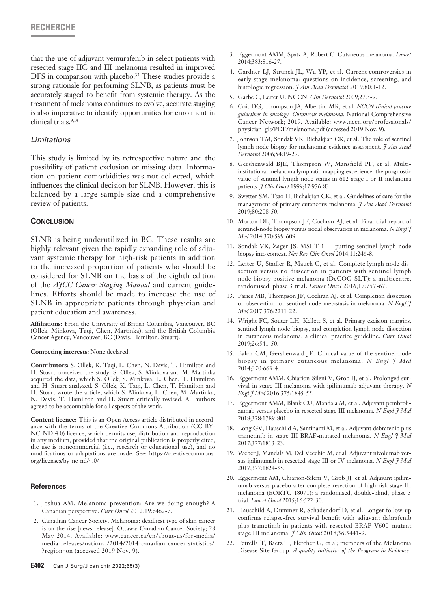that the use of adjuvant vemurafenib in select patients with resected stage IIC and III melanoma resulted in improved DFS in comparison with placebo.<sup>33</sup> These studies provide a strong rationale for performing SLNB, as patients must be accurately staged to benefit from systemic therapy. As the treatment of melanoma continues to evolve, accurate staging is also imperative to identify opportunities for enrolment in clinical trials.9,14

## *Limitations*

This study is limited by its retrospective nature and the possibility of patient exclusion or missing data. Information on patient comorbidities was not collected, which influences the clinical decision for SLNB. However, this is balanced by a large sample size and a comprehensive review of patients.

## **Conclusion**

SLNB is being underutilized in BC. These results are highly relevant given the rapidly expanding role of adjuvant systemic therapy for high-risk patients in addition to the increased proportion of patients who should be considered for SLNB on the basis of the eighth edition of the *AJCC Cancer Staging Manual* and current guidelines. Efforts should be made to increase the use of SLNB in appropriate patients through physician and patient education and awareness.

**Affiliations:** From the University of British Columbia, Vancouver, BC (Ollek, Minkova, Taqi, Chen, Martinka); and the British Columbia Cancer Agency, Vancouver, BC (Davis, Hamilton, Stuart).

#### **Competing interests:** None declared.

**Contributors:** S. Ollek, K. Taqi, L. Chen, N. Davis, T. Hamilton and H. Stuart conceived the study. S. Ollek, S. Minkova and M. Martinka acquired the data, which S. Ollek, S. Minkova, L. Chen, T. Hamilton and H. Stuart analyzed. S. Ollek, K. Taqi, L. Chen, T. Hamilton and H. Stuart wrote the article, which S. Minkova, L. Chen, M. Martinka, N. Davis, T. Hamilton and H. Stuart critically revised. All authors agreed to be accountable for all aspects of the work.

**Content licence:** This is an Open Access article distributed in accordance with the terms of the Creative Commons Attribution (CC BY-NC-ND 4.0) licence, which permits use, distribution and reproduction in any medium, provided that the original publication is properly cited, the use is noncommercial (i.e., research or educational use), and no modifications or adaptations are made. See: https://creativecommons. org/licenses/by-nc-nd/4.0/

#### **References**

- 1. Joshua AM. Melanoma prevention: Are we doing enough? A Canadian perspective. *Curr Oncol* 2012;19:e462-7.
- 2. Canadian Cancer Society. Melanoma: deadliest type of skin cancer is on the rise [news release]. Ottawa: Canadian Cancer Society; 28 May 2014. Available: www.cancer.ca/en/about-us/for-media/ media-releases/national/2014/2014-canadian-cancer-statistics/ ?region=on (accessed 2019 Nov. 9).
- 3. Eggermont AMM, Spatz A, Robert C. Cutaneous melanoma. *Lancet* 2014;383:816-27.
- 4. Gardner LJ, Strunck JL, Wu YP, et al. Current controversies in early-stage melanoma: questions on incidence, screening, and histologic regression. *J Am Acad Dermatol* 2019;80:1-12.
- 5. Garbe C, Leiter U. NCCN. *Clin Dermatol* 2009;27:3-9.
- 6. Coit DG, Thompson JA, Albertini MR, et al. *NCCN clinical practice guidelines in oncology. Cutaneous melanoma*. National Comprehensive Cancer Network; 2019. Available: www.nccn.org/professionals/ physician\_gls/PDF/melanoma.pdf (accessed 2019 Nov. 9).
- 7. Johnson TM, Sondak VK, Bichakjian CK, et al. The role of sentinel lymph node biopsy for melanoma: evidence assessment. *J Am Acad Dermatol* 2006;54:19-27.
- 8. Gershenwald BJE, Thompson W, Mansfield PF, et al. Multiinstitutional melanoma lymphatic mapping experience: the prognostic value of sentinel lymph node status in 612 stage I or II melanoma patients. *J Clin Oncol* 1999;17:976-83.
- 9. Swetter SM, Tsao H, Bichakjian CK, et al. Guidelines of care for the management of primary cutaneous melanoma. *J Am Acad Dermatol* 2019;80:208-50.
- 10. Morton DL, Thompson JF, Cochran AJ, et al. Final trial report of sentinel-node biopsy versus nodal observation in melanoma. *N Engl J Med* 2014;370:599-609.
- 11. Sondak VK, Zager JS. MSLT-1 putting sentinel lymph node biopsy into context. *Nat Rev Clin Oncol* 2014;11:246-8.
- 12. Leiter U, Stadler R, Mauch C, et al. Complete lymph node dissection versus no dissection in patients with sentinel lymph node biopsy positive melanoma (DeCOG-SLT): a multicentre, randomised, phase 3 trial. *Lancet Oncol* 2016;17:757-67.
- 13. Faries MB, Thompson JF, Cochran AJ, et al. Completion dissection or observation for sentinel-node metastasis in melanoma. *N Engl J Med* 2017;376:2211-22.
- 14. Wright FC, Souter LH, Kellett S, et al. Primary excision margins, sentinel lymph node biopsy, and completion lymph node dissection in cutaneous melanoma: a clinical practice guideline. *Curr Oncol* 2019;26:541-50.
- 15. Balch CM, Gershenwald JE. Clinical value of the sentinel-node biopsy in primary cutaneous melanoma. *N Engl J Med* 2014;370:663-4.
- 16. Eggermont AMM, Chiarion-Sileni V, Grob JJ, et al. Prolonged survival in stage III melanoma with ipilimumab adjuvant therapy. *N Engl J Med* 2016;375:1845-55.
- 17. Eggermont AMM, Blank CU, Mandala M, et al. Adjuvant pembrolizumab versus placebo in resected stage III melanoma. *N Engl J Med* 2018;378:1789-801.
- 18. Long GV, Hauschild A, Santinami M, et al. Adjuvant dabrafenib plus trametinib in stage III BRAF-mutated melanoma. *N Engl J Med* 2017;377:1813-23.
- 19. Weber J, Mandala M, Del Vecchio M, et al. Adjuvant nivolumab versus ipilimumab in resected stage III or IV melanoma. *N Engl J Med* 2017;377:1824-35.
- 20. Eggermont AM, Chiarion-Sileni V, Grob JJ, et al. Adjuvant ipilimumab versus placebo after complete resection of high-risk stage III melanoma (EORTC 18071): a randomised, double-blind, phase 3 trial. *Lancet Oncol* 2015;16:522-30.
- 21. Hauschild A, Dummer R, Schadendorf D, et al. Longer follow-up confirms relapse-free survival benefit with adjuvant dabrafenib plus trametinib in patients with resected BRAF V600–mutant stage III melanoma. *J Clin Oncol* 2018;36:3441-9.
- 22. Petrella T, Baetz T, Fletcher G, et al; members of the Melanoma Disease Site Group. *A quality initiative of the Program in Evidence-*